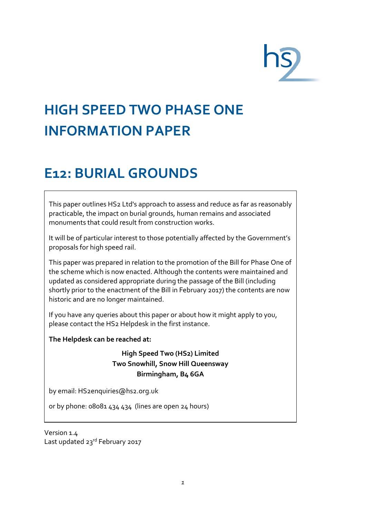# **HIGH SPEED TWO PHASE ONE INFORMATION PAPER**

### **E12: BURIAL GROUNDS**

This paper outlines HS2 Ltd's approach to assess and reduce as far as reasonably practicable, the impact on burial grounds, human remains and associated monuments that could result from construction works.

It will be of particular interest to those potentially affected by the Government's proposals for high speed rail.

This paper was prepared in relation to the promotion of the Bill for Phase One of the scheme which is now enacted. Although the contents were maintained and updated as considered appropriate during the passage of the Bill (including shortly prior to the enactment of the Bill in February 2017) the contents are now historic and are no longer maintained.

If you have any queries about this paper or about how it might apply to you, please contact the HS2 Helpdesk in the first instance.

**The Helpdesk can be reached at:**

**High Speed Two (HS2) Limited Two Snowhill, Snow Hill Queensway Birmingham, B4 6GA**

by email: [HS2enquiries@hs2.org.uk](mailto:HS2enquiries@hs2.org.uk)

or by phone: 08081 434 434 (lines are open 24 hours)

Version 1.4 Last updated 23rd February 2017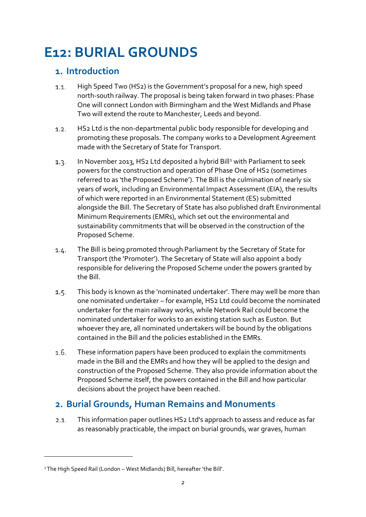## **E12: BURIAL GROUNDS**

#### **1. Introduction**

- High Speed Two (HS2) is the Government's proposal for a new, high speed  $1.1.$ north-south railway. The proposal is being taken forward in two phases: Phase One will connect London with Birmingham and the West Midlands and Phase Two will extend the route to Manchester, Leeds and beyond.
- HS2 Ltd is the non-departmental public body responsible for developing and  $1.2.$ promoting these proposals. The company works to a Development Agreement made with the Secretary of State for Transport.
- $1.3.$ In November 20[1](#page-1-0)3, HS2 Ltd deposited a hybrid Bill<sup>1</sup> with Parliament to seek powers for the construction and operation of Phase One of HS2 (sometimes referred to as 'the Proposed Scheme'). The Bill is the culmination of nearly six years of work, including an Environmental Impact Assessment (EIA), the results of which were reported in an Environmental Statement (ES) submitted alongside the Bill. The Secretary of State has also published draft Environmental Minimum Requirements (EMRs), which set out the environmental and sustainability commitments that will be observed in the construction of the Proposed Scheme.
- The Bill is being promoted through Parliament by the Secretary of State for  $1.4.$ Transport (the 'Promoter'). The Secretary of State will also appoint a body responsible for delivering the Proposed Scheme under the powers granted by the Bill.
- $1.5.$ This body is known as the 'nominated undertaker'. There may well be more than one nominated undertaker – for example, HS2 Ltd could become the nominated undertaker for the main railway works, while Network Rail could become the nominated undertaker for works to an existing station such as Euston. But whoever they are, all nominated undertakers will be bound by the obligations contained in the Bill and the policies established in the EMRs.
- $1.6.$ These information papers have been produced to explain the commitments made in the Bill and the EMRs and how they will be applied to the design and construction of the Proposed Scheme. They also provide information about the Proposed Scheme itself, the powers contained in the Bill and how particular decisions about the project have been reached.

#### **2. Burial Grounds, Human Remains and Monuments**

 $2.1.$ This information paper outlines HS2 Ltd's approach to assess and reduce as far as reasonably practicable, the impact on burial grounds, war graves, human

<u>.</u>

<span id="page-1-0"></span><sup>1</sup>The High Speed Rail (London – West Midlands) Bill, hereafter 'the Bill'.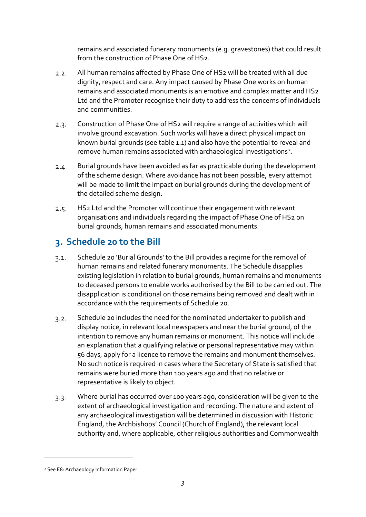remains and associated funerary monuments (e.g. gravestones) that could result from the construction of Phase One of HS2.

- All human remains affected by Phase One of HS2 will be treated with all due  $2.2.$ dignity, respect and care. Any impact caused by Phase One works on human remains and associated monuments is an emotive and complex matter and HS2 Ltd and the Promoter recognise their duty to address the concerns of individuals and communities.
- Construction of Phase One of HS2 will require a range of activities which will  $2.3.$ involve ground excavation. Such works will have a direct physical impact on known burial grounds (see table 1.1) and also have the potential to reveal and remove human remains associated with archaeological investigations<sup>[2](#page-2-0)</sup>.
- Burial grounds have been avoided as far as practicable during the development  $2.4.$ of the scheme design. Where avoidance has not been possible, every attempt will be made to limit the impact on burial grounds during the development of the detailed scheme design.
- HS2 Ltd and the Promoter will continue their engagement with relevant  $2.5.$ organisations and individuals regarding the impact of Phase One of HS2 on burial grounds, human remains and associated monuments.

### **3. Schedule 20 to the Bill**

- Schedule 20 'Burial Grounds' to the Bill provides a regime for the removal of  $3.1.$ human remains and related funerary monuments. The Schedule disapplies existing legislation in relation to burial grounds, human remains and monuments to deceased persons to enable works authorised by the Bill to be carried out. The disapplication is conditional on those remains being removed and dealt with in accordance with the requirements of Schedule 20.
- Schedule 20 includes the need for the nominated undertaker to publish and  $3.2.$ display notice, in relevant local newspapers and near the burial ground, of the intention to remove any human remains or monument. This notice will include an explanation that a qualifying relative or personal representative may within 56 days, apply for a licence to remove the remains and monument themselves. No such notice is required in cases where the Secretary of State is satisfied that remains were buried more than 100 years ago and that no relative or representative is likely to object.
- Where burial has occurred over 100 years ago, consideration will be given to the  $3.3.$ extent of archaeological investigation and recording. The nature and extent of any archaeological investigation will be determined in discussion with Historic England, the Archbishops' Council (Church of England), the relevant local authority and, where applicable, other religious authorities and Commonwealth

<u>.</u>

<span id="page-2-0"></span><sup>2</sup> See E8: Archaeology Information Paper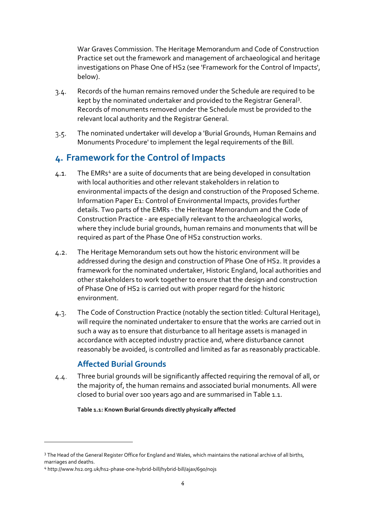War Graves Commission. The Heritage Memorandum and Code of Construction Practice set out the framework and management of archaeological and heritage investigations on Phase One of HS2 (see 'Framework for the Control of Impacts', below).

- Records of the human remains removed under the Schedule are required to be  $3.4.$ kept by the nominated undertaker and provided to the Registrar General<sup>[3](#page-3-0)</sup>. Records of monuments removed under the Schedule must be provided to the relevant local authority and the Registrar General.
- The nominated undertaker will develop a 'Burial Grounds, Human Remains and  $3.5 -$ Monuments Procedure' to implement the legal requirements of the Bill.

#### **4. Framework for the Control of Impacts**

- The EMRs<sup>[4](#page-3-1)</sup> are a suite of documents that are being developed in consultation  $4.1.$ with local authorities and other relevant stakeholders in relation to environmental impacts of the design and construction of the Proposed Scheme. Information Paper E1: Control of Environmental Impacts, provides further details. Two parts of the EMRs - the Heritage Memorandum and the Code of Construction Practice - are especially relevant to the archaeological works, where they include burial grounds, human remains and monuments that will be required as part of the Phase One of HS2 construction works.
- The Heritage Memorandum sets out how the historic environment will be  $4.2.$ addressed during the design and construction of Phase One of HS2. It provides a framework for the nominated undertaker, Historic England, local authorities and other stakeholders to work together to ensure that the design and construction of Phase One of HS2 is carried out with proper regard for the historic environment.
- The Code of Construction Practice (notably the section titled: Cultural Heritage),  $4.3.$ will require the nominated undertaker to ensure that the works are carried out in such a way as to ensure that disturbance to all heritage assets is managed in accordance with accepted industry practice and, where disturbance cannot reasonably be avoided, is controlled and limited as far as reasonably practicable.

#### **Affected Burial Grounds**

Three burial grounds will be significantly affected requiring the removal of all, or  $4.4.$ the majority of, the human remains and associated burial monuments. All were closed to burial over 100 years ago and are summarised in Table 1.1.

**Table 1.1: Known Burial Grounds directly physically affected**

<u>.</u>

<span id="page-3-0"></span><sup>&</sup>lt;sup>3</sup> The Head of the General Register Office for England and Wales, which maintains the national archive of all births, marriages and deaths.

<span id="page-3-1"></span><sup>4</sup> http://www.hs2.org.uk/hs2-phase-one-hybrid-bill/hybrid-bill/ajax/690/nojs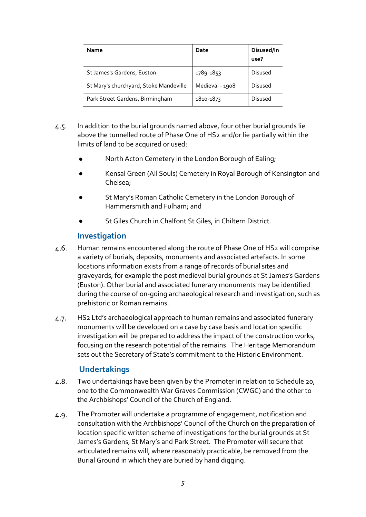| Name                                   | Date            | Disused/In<br>use? |
|----------------------------------------|-----------------|--------------------|
| St James's Gardens, Euston             | 1789-1853       | <b>Disused</b>     |
| St Mary's churchyard, Stoke Mandeville | Medieval - 1908 | <b>Disused</b>     |
| Park Street Gardens, Birmingham        | 1810-1873       | <b>Disused</b>     |

- $4.5.$ In addition to the burial grounds named above, four other burial grounds lie above the tunnelled route of Phase One of HS2 and/or lie partially within the limits of land to be acquired or used:
	- North Acton Cemetery in the London Borough of Ealing;
	- Kensal Green (All Souls) Cemetery in Royal Borough of Kensington and Chelsea;
	- St Mary's Roman Catholic Cemetery in the London Borough of Hammersmith and Fulham; and
	- St Giles Church in Chalfont St Giles, in Chiltern District.

#### **Investigation**

- 4.6. Human remains encountered along the route of Phase One of HS2 will comprise a variety of burials, deposits, monuments and associated artefacts. In some locations information exists from a range of records of burial sites and graveyards, for example the post medieval burial grounds at St James's Gardens (Euston). Other burial and associated funerary monuments may be identified during the course of on-going archaeological research and investigation, such as prehistoric or Roman remains.
- HS2 Ltd's archaeological approach to human remains and associated funerary  $4.7.$ monuments will be developed on a case by case basis and location specific investigation will be prepared to address the impact of the construction works, focusing on the research potential of the remains. The Heritage Memorandum sets out the Secretary of State's commitment to the Historic Environment.

#### **Undertakings**

- 4.8. Two undertakings have been given by the Promoter in relation to Schedule 20, one to the Commonwealth War Graves Commission (CWGC) and the other to the Archbishops' Council of the Church of England.
- The Promoter will undertake a programme of engagement, notification and 4.9. consultation with the Archbishops' Council of the Church on the preparation of location specific written scheme of investigations for the burial grounds at St James's Gardens, St Mary's and Park Street. The Promoter will secure that articulated remains will, where reasonably practicable, be removed from the Burial Ground in which they are buried by hand digging.